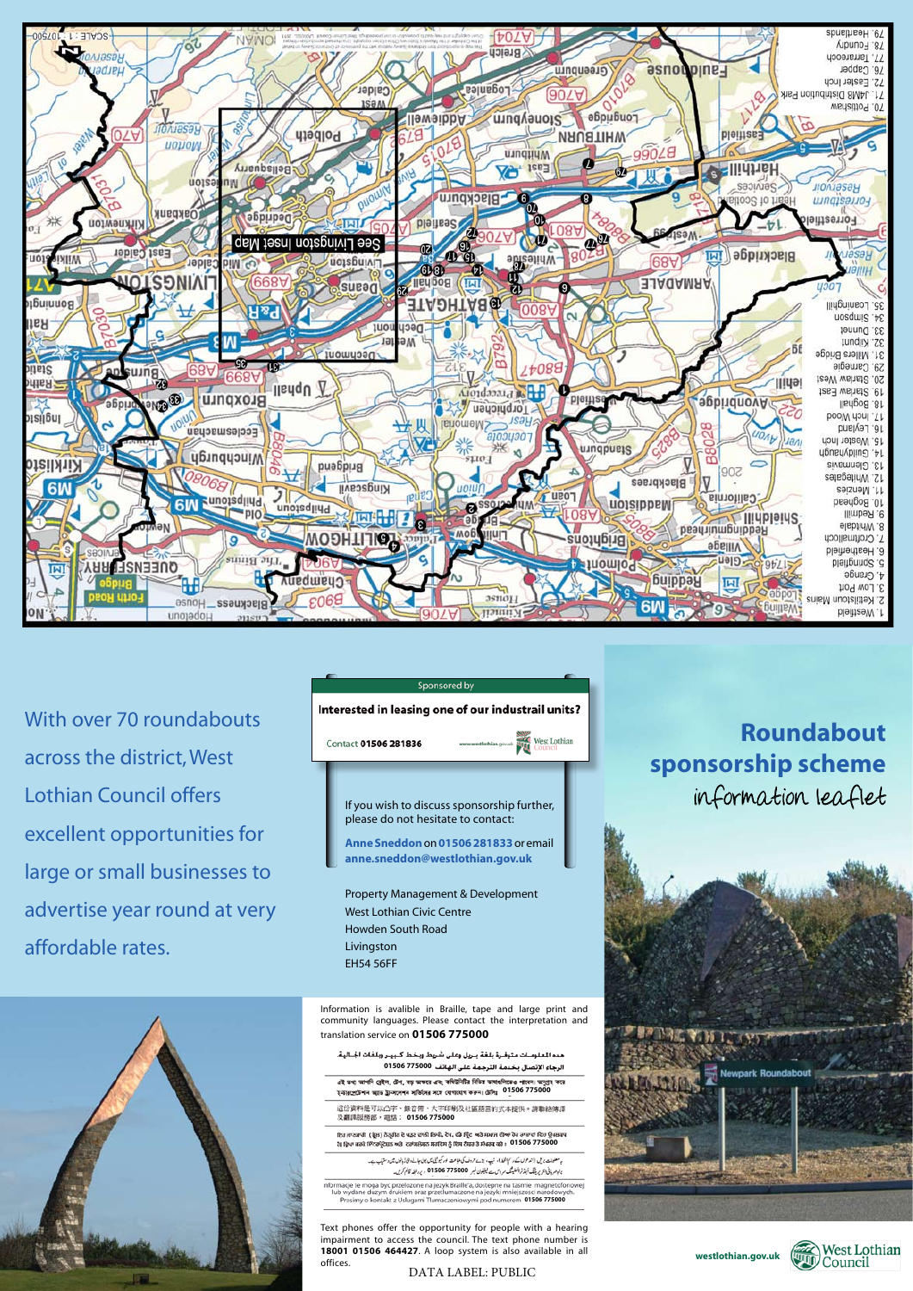**Roundabout sponsorship scheme** information leaflet







With over 70 roundabouts across the district, West Lothian Council offers excellent opportunities for large or small businesses to advertise year round at very affordable rates.



Livingston EH54 56FF

هده المعلومــات متوفــرة بلغـة بــريل وعلى شريط وبخط كــبيــر وبلغات الجــاليـة. الرجاء الإتصال بخدمة الترجمة على الهاتف 01506 775000

এই তথ্য আপনি ব্ৰেইল, টেপ, বড় অক্ষরে এবং কমিউনিটির বিভিন্ন ভাষাঙলিতেও পাৰেন। অনুপ্রহ করে ইনীরপ্রাটশান আন্ত ট্রান্সলেশন সার্জিদের সঙ্গে যোগাযোগ করুন। ট্রেনিঃ 01506 775000

這份資料是可以凸字、錄音帶、大字印刷及社區語言的式本提供。請聯絡傳譯 及翻譯服務部,電話: 01506 775000

ਇਹ ਜਾਣਕਾਰੀ (ਬ੍ਰੈਲ) ਨੈਤ੍ਰੀਨ ਦੇ ਪੜਣ ਦਾਲੀ ਲਿਖੀ, ਦੇਖ, ਫੰਡੇ ਪ੍ਰਿੰਟ ਅਤੇ ਸਮਾਜ ਦੀਆ ਹੋਹ ਰਾਸ਼ਾਵਾਂ ਵਿਚ ਉਪਲਬਧ ਹੈ। ਫ਼੍ਰਿਆ ਕਰਕੇ *ਇੰਟਰਪ੍ਰੋਟੋਸ਼ਨ ਅ*ਤੇ ਟਰਾਂਸਲੇਸ਼ਨ ਸਰਵਿਸ ਨੂੰ ਇਸ ਨੈਂਬਰ ਤੇ ਸੰਪਰਕ ਕਰੋ : 01506 775000

> ید معضات بر فی (اند عول کے دسم الخط)، نیپ، بڑے حروف کی طباعت اور کیونٹی میں بولی جانے والی کو ڈاپٹول میں وستیاب ہے۔ براہور بانی اعربریڈنگ آبیٹرٹر السلیٹنگ سروس سے لیلیلون نسبر **01506 775000**0 ، پر البلہ قائم کریں۔

Informacje te moga byc przelozone na jezyk Braille'a, dostepne na tasmie magnetofonowej<br>Iub wydane duzym drukiem oraz przetlumaczone na jezyki mniejszosci narodowych.<br>Prosimy o kontakt z Uslugami Tiumaczeniowymi pod numere



**Customers with special requirements**

Information is avalible in Braille, tape and large print and community languages. Please contact the interpretation community languages. Please contact the interpretation and and translation service on **01506 775000** translation service on **01506 775000**

Text phones offer the opportunity for people with a hearing **1800 provide the interpretation** is people in a literating impairment to access the council. The text phone number is 18001 01506 464427. A loop system is also available in all offices.

DATA LABEL: PUBLIC